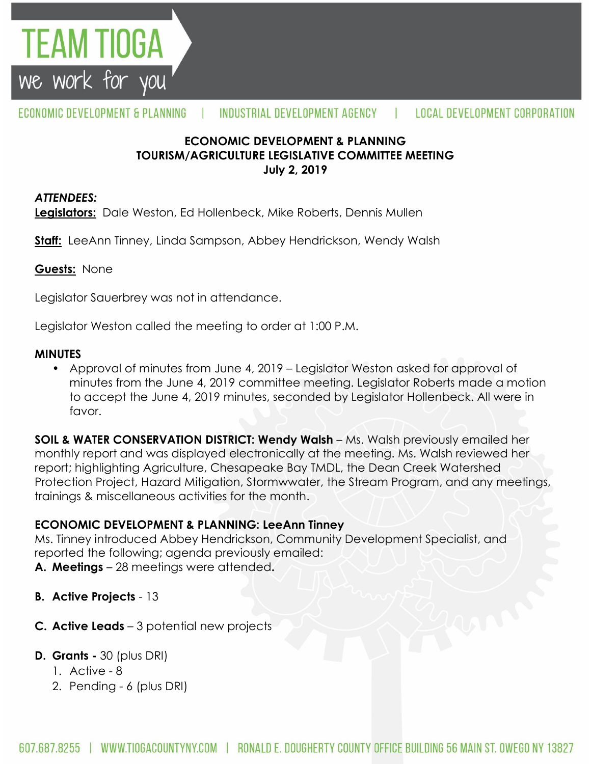

## **ECONOMIC DEVELOPMENT & PLANNING TOURISM/AGRICULTURE LEGISLATIVE COMMITTEE MEETING July 2, 2019**

### *ATTENDEES:*

TEAM TIOGA

we work for you

**Legislators:** Dale Weston, Ed Hollenbeck, Mike Roberts, Dennis Mullen

**Staff:** LeeAnn Tinney, Linda Sampson, Abbey Hendrickson, Wendy Walsh

### **Guests:** None

Legislator Sauerbrey was not in attendance.

Legislator Weston called the meeting to order at 1:00 P.M.

### **MINUTES**

• Approval of minutes from June 4, 2019 – Legislator Weston asked for approval of minutes from the June 4, 2019 committee meeting. Legislator Roberts made a motion to accept the June 4, 2019 minutes, seconded by Legislator Hollenbeck. All were in favor.

**SOIL & WATER CONSERVATION DISTRICT: Wendy Walsh** – Ms. Walsh previously emailed her monthly report and was displayed electronically at the meeting. Ms. Walsh reviewed her report; highlighting Agriculture, Chesapeake Bay TMDL, the Dean Creek Watershed Protection Project, Hazard Mitigation, Stormwwater, the Stream Program, and any meetings, trainings & miscellaneous activities for the month.

## **ECONOMIC DEVELOPMENT & PLANNING: LeeAnn Tinney**

Ms. Tinney introduced Abbey Hendrickson, Community Development Specialist, and reported the following; agenda previously emailed: **A. Meetings** – 28 meetings were attended**.** 

- **B. Active Projects** 13
- **C. Active Leads** 3 potential new projects
- **D. Grants -** 30 (plus DRI)
	- 1. Active 8
	- 2. Pending 6 (plus DRI)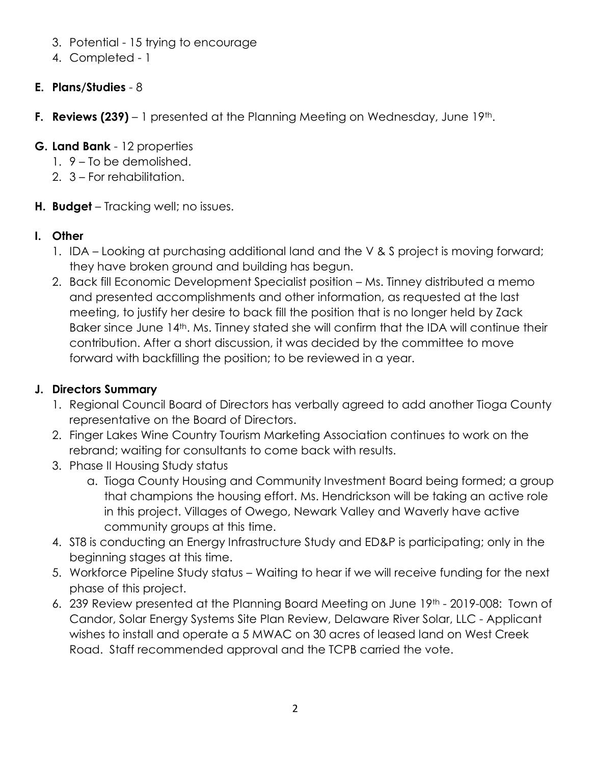- 3. Potential 15 trying to encourage
- 4. Completed 1

# **E. Plans/Studies** - 8

**F. Reviews (239)** – 1 presented at the Planning Meeting on Wednesday, June 19<sup>th</sup>.

## **G. Land Bank** - 12 properties

- 1. 9 To be demolished.
- 2. 3 For rehabilitation.
- **H. Budget** Tracking well; no issues.

# **I. Other**

- 1. IDA Looking at purchasing additional land and the V & S project is moving forward; they have broken ground and building has begun.
- 2. Back fill Economic Development Specialist position Ms. Tinney distributed a memo and presented accomplishments and other information, as requested at the last meeting, to justify her desire to back fill the position that is no longer held by Zack Baker since June 14<sup>th</sup>. Ms. Tinney stated she will confirm that the IDA will continue their contribution. After a short discussion, it was decided by the committee to move forward with backfilling the position; to be reviewed in a year.

# **J. Directors Summary**

- 1. Regional Council Board of Directors has verbally agreed to add another Tioga County representative on the Board of Directors.
- 2. Finger Lakes Wine Country Tourism Marketing Association continues to work on the rebrand; waiting for consultants to come back with results.
- 3. Phase II Housing Study status
	- a. Tioga County Housing and Community Investment Board being formed; a group that champions the housing effort. Ms. Hendrickson will be taking an active role in this project. Villages of Owego, Newark Valley and Waverly have active community groups at this time.
- 4. ST8 is conducting an Energy Infrastructure Study and ED&P is participating; only in the beginning stages at this time.
- 5. Workforce Pipeline Study status Waiting to hear if we will receive funding for the next phase of this project.
- 6. 239 Review presented at the Planning Board Meeting on June 19th 2019-008: Town of Candor, Solar Energy Systems Site Plan Review, Delaware River Solar, LLC - Applicant wishes to install and operate a 5 MWAC on 30 acres of leased land on West Creek Road. Staff recommended approval and the TCPB carried the vote.